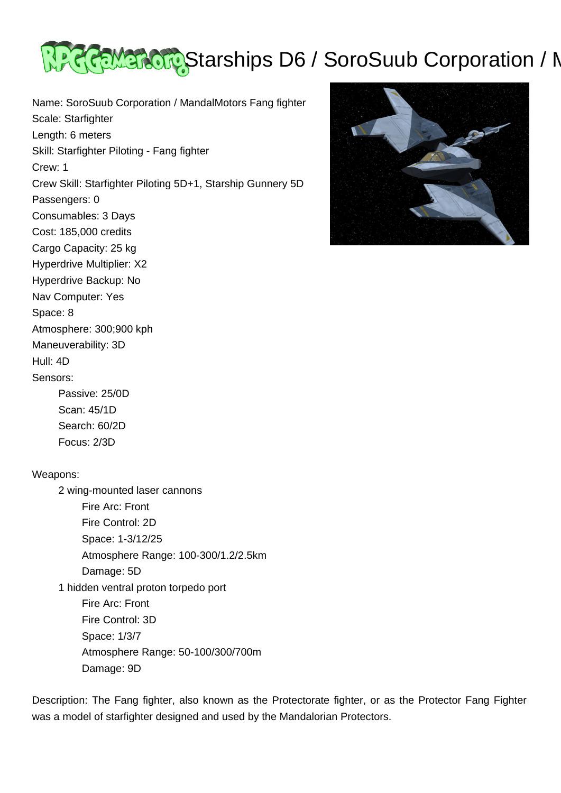

Name: SoroSuub Corporation / MandalMotors Fang fighter Scale: Starfighter Length: 6 meters Skill: Starfighter Piloting - Fang fighter Crew: 1 Crew Skill: Starfighter Piloting 5D+1, Starship Gunnery 5D Passengers: 0 Consumables: 3 Days Cost: 185,000 credits Cargo Capacity: 25 kg Hyperdrive Multiplier: X2 Hyperdrive Backup: No Nav Computer: Yes Space: 8 Atmosphere: 300;900 kph Maneuverability: 3D Hull: 4D Sensors: Passive: 25/0D Scan: 45/1D Search: 60/2D Focus: 2/3D



## Weapons:

 2 wing-mounted laser cannons Fire Arc: Front Fire Control: 2D Space: 1-3/12/25 Atmosphere Range: 100-300/1.2/2.5km Damage: 5D 1 hidden ventral proton torpedo port Fire Arc: Front Fire Control: 3D Space: 1/3/7 Atmosphere Range: 50-100/300/700m Damage: 9D

Description: The Fang fighter, also known as the Protectorate fighter, or as the Protector Fang Fighter was a model of starfighter designed and used by the Mandalorian Protectors.